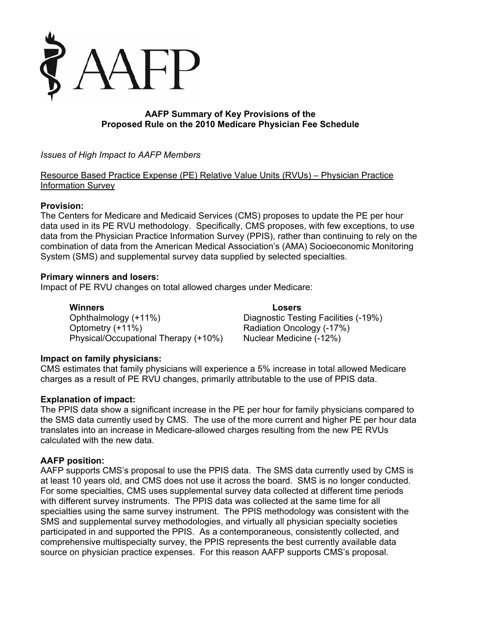

# **AAFP Summary of Key Provisions of the Proposed Rule on the 2010 Medicare Physician Fee Schedule**

*Issues of High Impact to AAFP Members* 

Resource Based Practice Expense (PE) Relative Value Units (RVUs) – Physician Practice Information Survey

## **Provision:**

The Centers for Medicare and Medicaid Services (CMS) proposes to update the PE per hour data used in its PE RVU methodology. Specifically, CMS proposes, with few exceptions, to use data from the Physician Practice Information Survey (PPIS), rather than continuing to rely on the combination of data from the American Medical Association's (AMA) Socioeconomic Monitoring System (SMS) and supplemental survey data supplied by selected specialties.

## **Primary winners and losers:**

Impact of PE RVU changes on total allowed charges under Medicare:

**Winners** Losers<br>
Ophthalmology (+11%) Diagnostic Test Optometry (+11%) Radiation Oncology (-17%) Physical/Occupational Therapy (+10%) Nuclear Medicine (-12%)

Diagnostic Testing Facilities (-19%)

## **Impact on family physicians:**

CMS estimates that family physicians will experience a 5% increase in total allowed Medicare charges as a result of PE RVU changes, primarily attributable to the use of PPIS data.

#### **Explanation of impact:**

The PPIS data show a significant increase in the PE per hour for family physicians compared to the SMS data currently used by CMS. The use of the more current and higher PE per hour data translates into an increase in Medicare-allowed charges resulting from the new PE RVUs calculated with the new data.

#### **AAFP position:**

AAFP supports CMS's proposal to use the PPIS data. The SMS data currently used by CMS is at least 10 years old, and CMS does not use it across the board. SMS is no longer conducted. For some specialties, CMS uses supplemental survey data collected at different time periods with different survey instruments. The PPIS data was collected at the same time for all specialties using the same survey instrument. The PPIS methodology was consistent with the SMS and supplemental survey methodologies, and virtually all physician specialty societies participated in and supported the PPIS. As a contemporaneous, consistently collected, and comprehensive multispecialty survey, the PPIS represents the best currently available data source on physician practice expenses. For this reason AAFP supports CMS's proposal.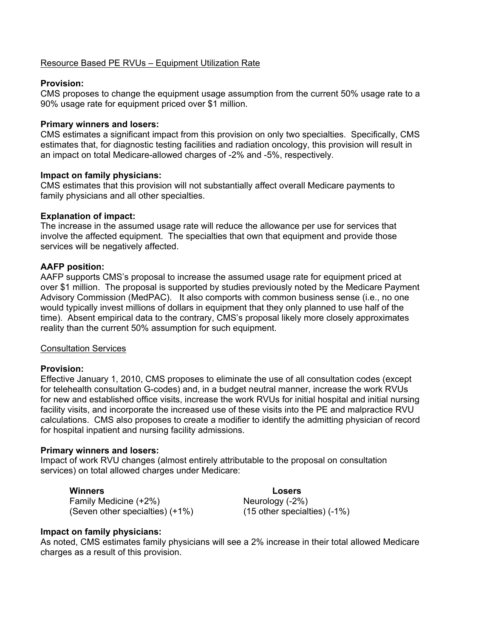#### Resource Based PE RVUs – Equipment Utilization Rate

#### **Provision:**

CMS proposes to change the equipment usage assumption from the current 50% usage rate to a 90% usage rate for equipment priced over \$1 million.

#### **Primary winners and losers:**

CMS estimates a significant impact from this provision on only two specialties. Specifically, CMS estimates that, for diagnostic testing facilities and radiation oncology, this provision will result in an impact on total Medicare-allowed charges of -2% and -5%, respectively.

#### **Impact on family physicians:**

CMS estimates that this provision will not substantially affect overall Medicare payments to family physicians and all other specialties.

#### **Explanation of impact:**

The increase in the assumed usage rate will reduce the allowance per use for services that involve the affected equipment. The specialties that own that equipment and provide those services will be negatively affected.

#### **AAFP position:**

AAFP supports CMS's proposal to increase the assumed usage rate for equipment priced at over \$1 million. The proposal is supported by studies previously noted by the Medicare Payment Advisory Commission (MedPAC). It also comports with common business sense (i.e., no one would typically invest millions of dollars in equipment that they only planned to use half of the time). Absent empirical data to the contrary, CMS's proposal likely more closely approximates reality than the current 50% assumption for such equipment.

#### Consultation Services

#### **Provision:**

Effective January 1, 2010, CMS proposes to eliminate the use of all consultation codes (except for telehealth consultation G-codes) and, in a budget neutral manner, increase the work RVUs for new and established office visits, increase the work RVUs for initial hospital and initial nursing facility visits, and incorporate the increased use of these visits into the PE and malpractice RVU calculations. CMS also proposes to create a modifier to identify the admitting physician of record for hospital inpatient and nursing facility admissions.

#### **Primary winners and losers:**

Impact of work RVU changes (almost entirely attributable to the proposal on consultation services) on total allowed charges under Medicare:

Family Medicine (+2%) **Neurology** (-2%) (Seven other specialties) (+1%) (15 other specialties) (-1%)

**Winners Losers** 

#### **Impact on family physicians:**

As noted, CMS estimates family physicians will see a 2% increase in their total allowed Medicare charges as a result of this provision.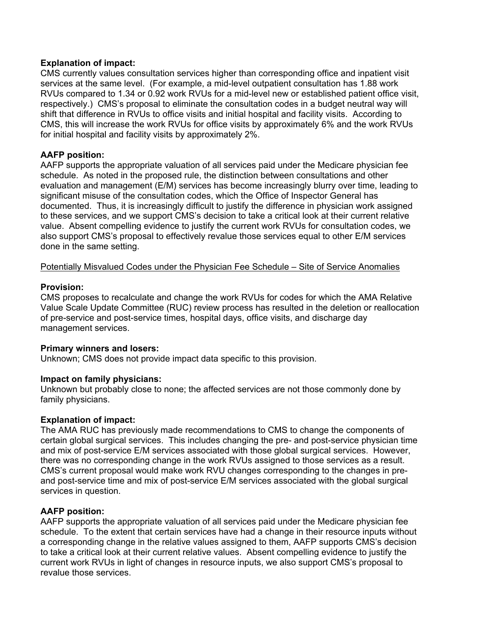#### **Explanation of impact:**

CMS currently values consultation services higher than corresponding office and inpatient visit services at the same level. (For example, a mid-level outpatient consultation has 1.88 work RVUs compared to 1.34 or 0.92 work RVUs for a mid-level new or established patient office visit, respectively.) CMS's proposal to eliminate the consultation codes in a budget neutral way will shift that difference in RVUs to office visits and initial hospital and facility visits. According to CMS, this will increase the work RVUs for office visits by approximately 6% and the work RVUs for initial hospital and facility visits by approximately 2%.

#### **AAFP position:**

AAFP supports the appropriate valuation of all services paid under the Medicare physician fee schedule. As noted in the proposed rule, the distinction between consultations and other evaluation and management (E/M) services has become increasingly blurry over time, leading to significant misuse of the consultation codes, which the Office of Inspector General has documented. Thus, it is increasingly difficult to justify the difference in physician work assigned to these services, and we support CMS's decision to take a critical look at their current relative value. Absent compelling evidence to justify the current work RVUs for consultation codes, we also support CMS's proposal to effectively revalue those services equal to other E/M services done in the same setting.

Potentially Misvalued Codes under the Physician Fee Schedule – Site of Service Anomalies

#### **Provision:**

CMS proposes to recalculate and change the work RVUs for codes for which the AMA Relative Value Scale Update Committee (RUC) review process has resulted in the deletion or reallocation of pre-service and post-service times, hospital days, office visits, and discharge day management services.

#### **Primary winners and losers:**

Unknown; CMS does not provide impact data specific to this provision.

#### **Impact on family physicians:**

Unknown but probably close to none; the affected services are not those commonly done by family physicians.

## **Explanation of impact:**

The AMA RUC has previously made recommendations to CMS to change the components of certain global surgical services. This includes changing the pre- and post-service physician time and mix of post-service E/M services associated with those global surgical services. However, there was no corresponding change in the work RVUs assigned to those services as a result. CMS's current proposal would make work RVU changes corresponding to the changes in preand post-service time and mix of post-service E/M services associated with the global surgical services in question.

## **AAFP position:**

AAFP supports the appropriate valuation of all services paid under the Medicare physician fee schedule. To the extent that certain services have had a change in their resource inputs without a corresponding change in the relative values assigned to them, AAFP supports CMS's decision to take a critical look at their current relative values. Absent compelling evidence to justify the current work RVUs in light of changes in resource inputs, we also support CMS's proposal to revalue those services.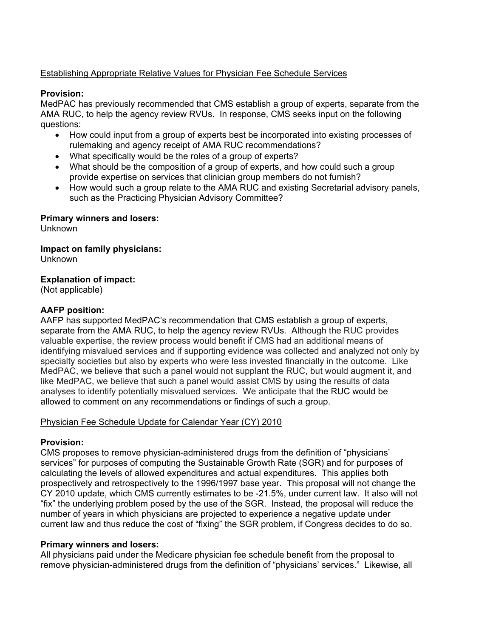# Establishing Appropriate Relative Values for Physician Fee Schedule Services

## **Provision:**

MedPAC has previously recommended that CMS establish a group of experts, separate from the AMA RUC, to help the agency review RVUs. In response, CMS seeks input on the following questions:

- How could input from a group of experts best be incorporated into existing processes of rulemaking and agency receipt of AMA RUC recommendations?
- What specifically would be the roles of a group of experts?
- What should be the composition of a group of experts, and how could such a group provide expertise on services that clinician group members do not furnish?
- How would such a group relate to the AMA RUC and existing Secretarial advisory panels, such as the Practicing Physician Advisory Committee?

## **Primary winners and losers:**

Unknown

## **Impact on family physicians:**

Unknown

# **Explanation of impact:**

(Not applicable)

# **AAFP position:**

AAFP has supported MedPAC's recommendation that CMS establish a group of experts, separate from the AMA RUC, to help the agency review RVUs. Although the RUC provides valuable expertise, the review process would benefit if CMS had an additional means of identifying misvalued services and if supporting evidence was collected and analyzed not only by specialty societies but also by experts who were less invested financially in the outcome. Like MedPAC, we believe that such a panel would not supplant the RUC, but would augment it, and like MedPAC, we believe that such a panel would assist CMS by using the results of data analyses to identify potentially misvalued services. We anticipate that the RUC would be allowed to comment on any recommendations or findings of such a group.

## Physician Fee Schedule Update for Calendar Year (CY) 2010

## **Provision:**

CMS proposes to remove physician-administered drugs from the definition of "physicians' services" for purposes of computing the Sustainable Growth Rate (SGR) and for purposes of calculating the levels of allowed expenditures and actual expenditures. This applies both prospectively and retrospectively to the 1996/1997 base year. This proposal will not change the CY 2010 update, which CMS currently estimates to be -21.5%, under current law. It also will not "fix" the underlying problem posed by the use of the SGR. Instead, the proposal will reduce the number of years in which physicians are projected to experience a negative update under current law and thus reduce the cost of "fixing" the SGR problem, if Congress decides to do so.

## **Primary winners and losers:**

All physicians paid under the Medicare physician fee schedule benefit from the proposal to remove physician-administered drugs from the definition of "physicians' services." Likewise, all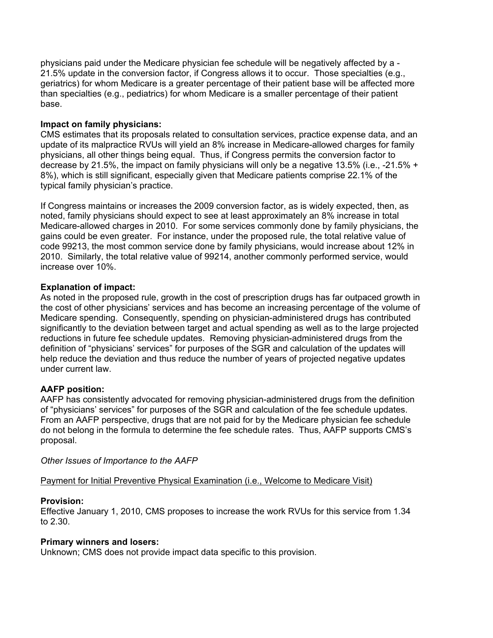physicians paid under the Medicare physician fee schedule will be negatively affected by a - 21.5% update in the conversion factor, if Congress allows it to occur. Those specialties (e.g., geriatrics) for whom Medicare is a greater percentage of their patient base will be affected more than specialties (e.g., pediatrics) for whom Medicare is a smaller percentage of their patient base.

## **Impact on family physicians:**

CMS estimates that its proposals related to consultation services, practice expense data, and an update of its malpractice RVUs will yield an 8% increase in Medicare-allowed charges for family physicians, all other things being equal. Thus, if Congress permits the conversion factor to decrease by 21.5%, the impact on family physicians will only be a negative 13.5% (i.e., -21.5% + 8%), which is still significant, especially given that Medicare patients comprise 22.1% of the typical family physician's practice.

If Congress maintains or increases the 2009 conversion factor, as is widely expected, then, as noted, family physicians should expect to see at least approximately an 8% increase in total Medicare-allowed charges in 2010. For some services commonly done by family physicians, the gains could be even greater. For instance, under the proposed rule, the total relative value of code 99213, the most common service done by family physicians, would increase about 12% in 2010. Similarly, the total relative value of 99214, another commonly performed service, would increase over 10%.

## **Explanation of impact:**

As noted in the proposed rule, growth in the cost of prescription drugs has far outpaced growth in the cost of other physicians' services and has become an increasing percentage of the volume of Medicare spending. Consequently, spending on physician-administered drugs has contributed significantly to the deviation between target and actual spending as well as to the large projected reductions in future fee schedule updates. Removing physician-administered drugs from the definition of "physicians' services" for purposes of the SGR and calculation of the updates will help reduce the deviation and thus reduce the number of years of projected negative updates under current law.

## **AAFP position:**

AAFP has consistently advocated for removing physician-administered drugs from the definition of "physicians' services" for purposes of the SGR and calculation of the fee schedule updates. From an AAFP perspective, drugs that are not paid for by the Medicare physician fee schedule do not belong in the formula to determine the fee schedule rates. Thus, AAFP supports CMS's proposal.

*Other Issues of Importance to the AAFP* 

Payment for Initial Preventive Physical Examination (i.e., Welcome to Medicare Visit)

## **Provision:**

Effective January 1, 2010, CMS proposes to increase the work RVUs for this service from 1.34 to 2.30.

## **Primary winners and losers:**

Unknown; CMS does not provide impact data specific to this provision.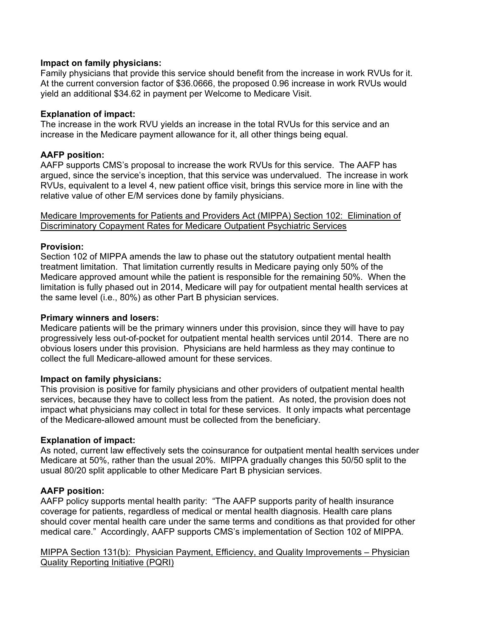#### **Impact on family physicians:**

Family physicians that provide this service should benefit from the increase in work RVUs for it. At the current conversion factor of \$36.0666, the proposed 0.96 increase in work RVUs would yield an additional \$34.62 in payment per Welcome to Medicare Visit.

#### **Explanation of impact:**

The increase in the work RVU yields an increase in the total RVUs for this service and an increase in the Medicare payment allowance for it, all other things being equal.

## **AAFP position:**

AAFP supports CMS's proposal to increase the work RVUs for this service. The AAFP has argued, since the service's inception, that this service was undervalued. The increase in work RVUs, equivalent to a level 4, new patient office visit, brings this service more in line with the relative value of other E/M services done by family physicians.

Medicare Improvements for Patients and Providers Act (MIPPA) Section 102: Elimination of Discriminatory Copayment Rates for Medicare Outpatient Psychiatric Services

#### **Provision:**

Section 102 of MIPPA amends the law to phase out the statutory outpatient mental health treatment limitation. That limitation currently results in Medicare paying only 50% of the Medicare approved amount while the patient is responsible for the remaining 50%. When the limitation is fully phased out in 2014, Medicare will pay for outpatient mental health services at the same level (i.e., 80%) as other Part B physician services.

#### **Primary winners and losers:**

Medicare patients will be the primary winners under this provision, since they will have to pay progressively less out-of-pocket for outpatient mental health services until 2014. There are no obvious losers under this provision. Physicians are held harmless as they may continue to collect the full Medicare-allowed amount for these services.

## **Impact on family physicians:**

This provision is positive for family physicians and other providers of outpatient mental health services, because they have to collect less from the patient. As noted, the provision does not impact what physicians may collect in total for these services. It only impacts what percentage of the Medicare-allowed amount must be collected from the beneficiary.

#### **Explanation of impact:**

As noted, current law effectively sets the coinsurance for outpatient mental health services under Medicare at 50%, rather than the usual 20%. MIPPA gradually changes this 50/50 split to the usual 80/20 split applicable to other Medicare Part B physician services.

## **AAFP position:**

AAFP policy supports mental health parity: "The AAFP supports parity of health insurance coverage for patients, regardless of medical or mental health diagnosis. Health care plans should cover mental health care under the same terms and conditions as that provided for other medical care." Accordingly, AAFP supports CMS's implementation of Section 102 of MIPPA.

MIPPA Section 131(b): Physician Payment, Efficiency, and Quality Improvements – Physician Quality Reporting Initiative (PQRI)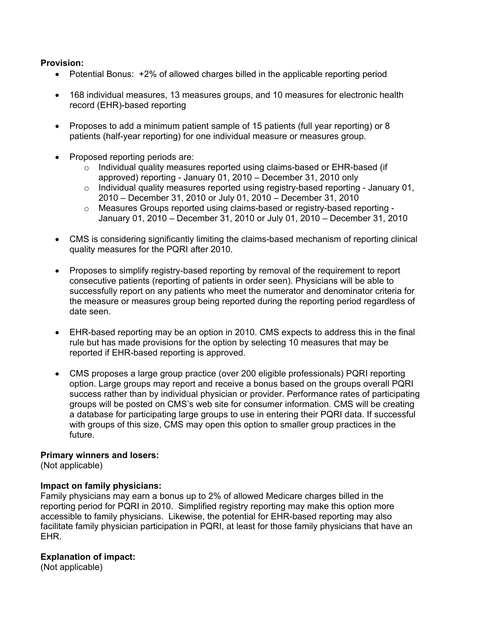## **Provision:**

- Potential Bonus: +2% of allowed charges billed in the applicable reporting period
- 168 individual measures, 13 measures groups, and 10 measures for electronic health record (EHR)-based reporting
- Proposes to add a minimum patient sample of 15 patients (full year reporting) or 8 patients (half-year reporting) for one individual measure or measures group.
- Proposed reporting periods are:
	- $\circ$  Individual quality measures reported using claims-based or EHR-based (if approved) reporting - January 01, 2010 – December 31, 2010 only
	- $\circ$  Individual quality measures reported using registry-based reporting January 01, 2010 – December 31, 2010 or July 01, 2010 – December 31, 2010
	- o Measures Groups reported using claims-based or registry-based reporting January 01, 2010 – December 31, 2010 or July 01, 2010 – December 31, 2010
- CMS is considering significantly limiting the claims-based mechanism of reporting clinical quality measures for the PQRI after 2010.
- Proposes to simplify registry-based reporting by removal of the requirement to report consecutive patients (reporting of patients in order seen). Physicians will be able to successfully report on any patients who meet the numerator and denominator criteria for the measure or measures group being reported during the reporting period regardless of date seen.
- EHR-based reporting may be an option in 2010. CMS expects to address this in the final rule but has made provisions for the option by selecting 10 measures that may be reported if EHR-based reporting is approved.
- CMS proposes a large group practice (over 200 eligible professionals) PQRI reporting option. Large groups may report and receive a bonus based on the groups overall PQRI success rather than by individual physician or provider. Performance rates of participating groups will be posted on CMS's web site for consumer information. CMS will be creating a database for participating large groups to use in entering their PQRI data. If successful with groups of this size, CMS may open this option to smaller group practices in the future.

#### **Primary winners and losers:**

(Not applicable)

## **Impact on family physicians:**

Family physicians may earn a bonus up to 2% of allowed Medicare charges billed in the reporting period for PQRI in 2010. Simplified registry reporting may make this option more accessible to family physicians. Likewise, the potential for EHR-based reporting may also facilitate family physician participation in PQRI, at least for those family physicians that have an EHR.

## **Explanation of impact:**

(Not applicable)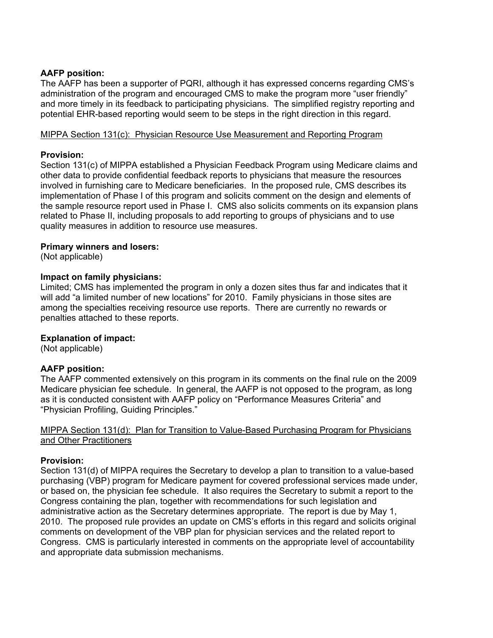## **AAFP position:**

The AAFP has been a supporter of PQRI, although it has expressed concerns regarding CMS's administration of the program and encouraged CMS to make the program more "user friendly" and more timely in its feedback to participating physicians. The simplified registry reporting and potential EHR-based reporting would seem to be steps in the right direction in this regard.

## MIPPA Section 131(c): Physician Resource Use Measurement and Reporting Program

# **Provision:**

Section 131(c) of MIPPA established a Physician Feedback Program using Medicare claims and other data to provide confidential feedback reports to physicians that measure the resources involved in furnishing care to Medicare beneficiaries. In the proposed rule, CMS describes its implementation of Phase I of this program and solicits comment on the design and elements of the sample resource report used in Phase I. CMS also solicits comments on its expansion plans related to Phase II, including proposals to add reporting to groups of physicians and to use quality measures in addition to resource use measures.

# **Primary winners and losers:**

(Not applicable)

# **Impact on family physicians:**

Limited; CMS has implemented the program in only a dozen sites thus far and indicates that it will add "a limited number of new locations" for 2010. Family physicians in those sites are among the specialties receiving resource use reports. There are currently no rewards or penalties attached to these reports.

# **Explanation of impact:**

(Not applicable)

# **AAFP position:**

The AAFP commented extensively on this program in its comments on the final rule on the 2009 Medicare physician fee schedule. In general, the AAFP is not opposed to the program, as long as it is conducted consistent with AAFP policy on "Performance Measures Criteria" and "Physician Profiling, Guiding Principles."

#### MIPPA Section 131(d): Plan for Transition to Value-Based Purchasing Program for Physicians and Other Practitioners

## **Provision:**

Section 131(d) of MIPPA requires the Secretary to develop a plan to transition to a value-based purchasing (VBP) program for Medicare payment for covered professional services made under, or based on, the physician fee schedule. It also requires the Secretary to submit a report to the Congress containing the plan, together with recommendations for such legislation and administrative action as the Secretary determines appropriate. The report is due by May 1, 2010. The proposed rule provides an update on CMS's efforts in this regard and solicits original comments on development of the VBP plan for physician services and the related report to Congress. CMS is particularly interested in comments on the appropriate level of accountability and appropriate data submission mechanisms.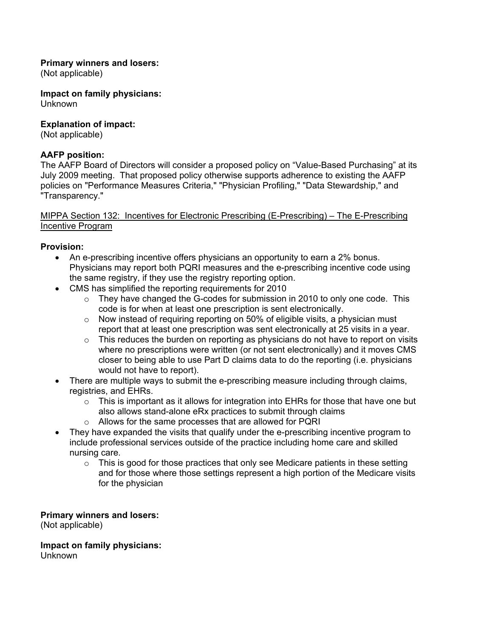## **Primary winners and losers:**

(Not applicable)

**Impact on family physicians:** 

Unknown

# **Explanation of impact:**

(Not applicable)

# **AAFP position:**

The AAFP Board of Directors will consider a proposed policy on "Value-Based Purchasing" at its July 2009 meeting. That proposed policy otherwise supports adherence to existing the AAFP policies on "Performance Measures Criteria," "Physician Profiling," "Data Stewardship," and "Transparency."

## MIPPA Section 132: Incentives for Electronic Prescribing (E-Prescribing) – The E-Prescribing Incentive Program

# **Provision:**

- An e-prescribing incentive offers physicians an opportunity to earn a 2% bonus. Physicians may report both PQRI measures and the e-prescribing incentive code using the same registry, if they use the registry reporting option.
- CMS has simplified the reporting requirements for 2010
	- $\circ$  They have changed the G-codes for submission in 2010 to only one code. This code is for when at least one prescription is sent electronically.
	- o Now instead of requiring reporting on 50% of eligible visits, a physician must report that at least one prescription was sent electronically at 25 visits in a year.
	- $\circ$  This reduces the burden on reporting as physicians do not have to report on visits where no prescriptions were written (or not sent electronically) and it moves CMS closer to being able to use Part D claims data to do the reporting (i.e. physicians would not have to report).
- There are multiple ways to submit the e-prescribing measure including through claims, registries, and EHRs.
	- $\circ$  This is important as it allows for integration into EHRs for those that have one but also allows stand-alone eRx practices to submit through claims
	- o Allows for the same processes that are allowed for PQRI
- They have expanded the visits that qualify under the e-prescribing incentive program to include professional services outside of the practice including home care and skilled nursing care.
	- $\circ$  This is good for those practices that only see Medicare patients in these setting and for those where those settings represent a high portion of the Medicare visits for the physician

**Primary winners and losers:**

(Not applicable)

# **Impact on family physicians:**

Unknown